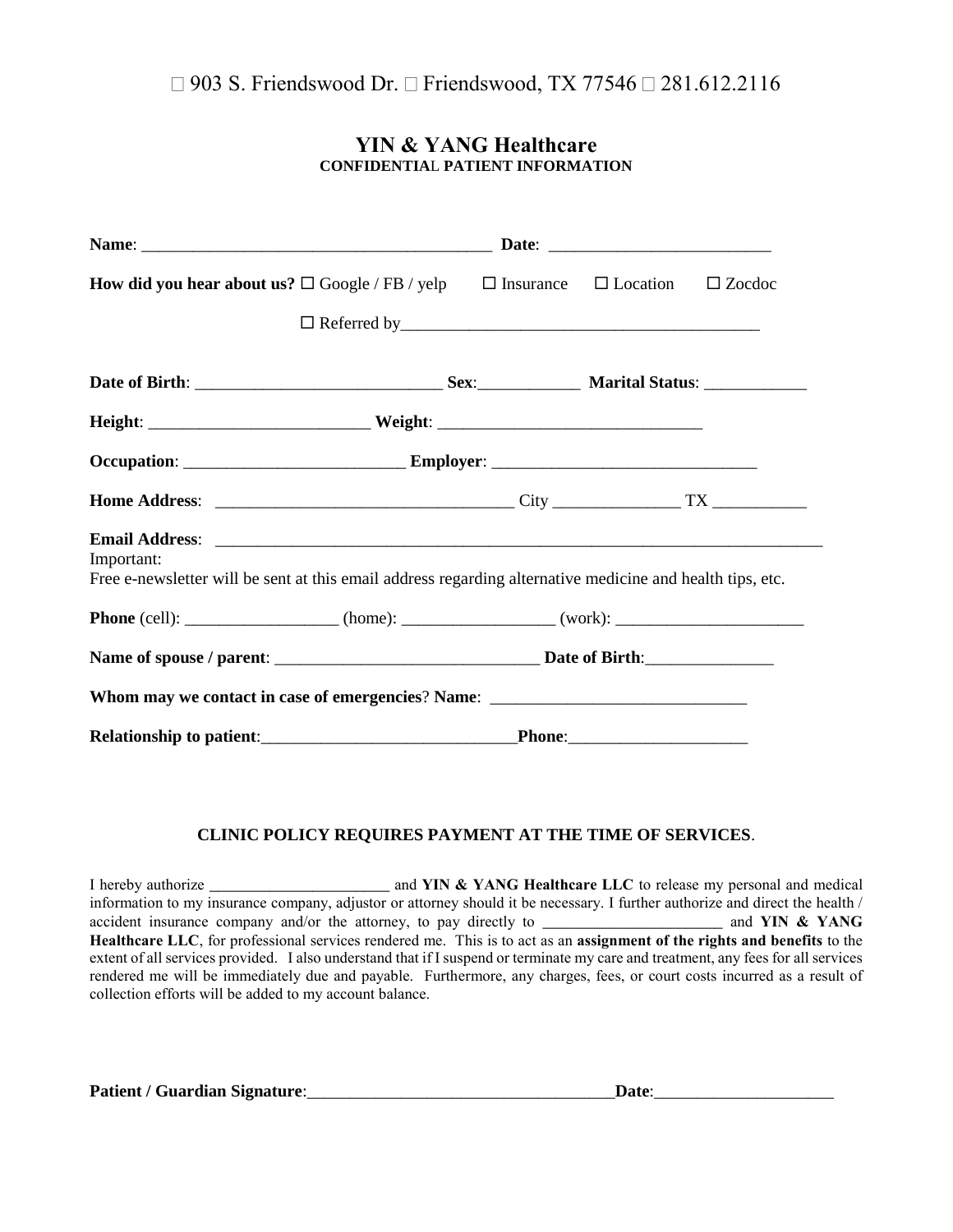### **YIN & YANG Healthcare CONFIDENTIA**L **PATIENT INFORMATION**

| <b>How did you hear about us?</b> $\square$ Google / FB / yelp $\square$ Insurance $\square$ Location                                                                                                                                                                                                                                                     |        | $\square$ Zoedoe |
|-----------------------------------------------------------------------------------------------------------------------------------------------------------------------------------------------------------------------------------------------------------------------------------------------------------------------------------------------------------|--------|------------------|
|                                                                                                                                                                                                                                                                                                                                                           |        |                  |
|                                                                                                                                                                                                                                                                                                                                                           |        |                  |
|                                                                                                                                                                                                                                                                                                                                                           |        |                  |
| Occupation: ________________________________Employer: ___________________________                                                                                                                                                                                                                                                                         |        |                  |
|                                                                                                                                                                                                                                                                                                                                                           |        |                  |
| Email Address: No. 2016. The Commission of the Commission of the Commission of the Commission of the Commission of the Commission of the Commission of the Commission of the Commission of the Commission of the Commission of<br>Important:<br>Free e-newsletter will be sent at this email address regarding alternative medicine and health tips, etc. |        |                  |
|                                                                                                                                                                                                                                                                                                                                                           |        |                  |
|                                                                                                                                                                                                                                                                                                                                                           |        |                  |
| Whom may we contact in case of emergencies? Name: _______________________________                                                                                                                                                                                                                                                                         |        |                  |
| <b>Relationship to patient:</b>                                                                                                                                                                                                                                                                                                                           | Phone: |                  |

### **CLINIC POLICY REQUIRES PAYMENT AT THE TIME OF SERVICES**.

I hereby authorize \_\_\_\_\_\_\_\_\_\_\_\_\_\_\_\_\_\_\_\_\_ and **YIN & YANG Healthcare LLC** to release my personal and medical information to my insurance company, adjustor or attorney should it be necessary. I further authorize and direct the health / accident insurance company and/or the attorney, to pay directly to \_\_\_\_\_\_\_\_\_\_\_\_\_\_\_\_\_\_\_\_\_\_\_\_ and YIN & YANG **Healthcare LLC**, for professional services rendered me. This is to act as an **assignment of the rights and benefits** to the extent of all services provided. I also understand that if I suspend or terminate my care and treatment, any fees for all services rendered me will be immediately due and payable. Furthermore, any charges, fees, or court costs incurred as a result of collection efforts will be added to my account balance.

**Patient / Guardian Signature:** <br> The setting of the setting of the setting of the setting of the setting of the setting of the setting of the setting of the setting of the setting of the setting of the setting of the sett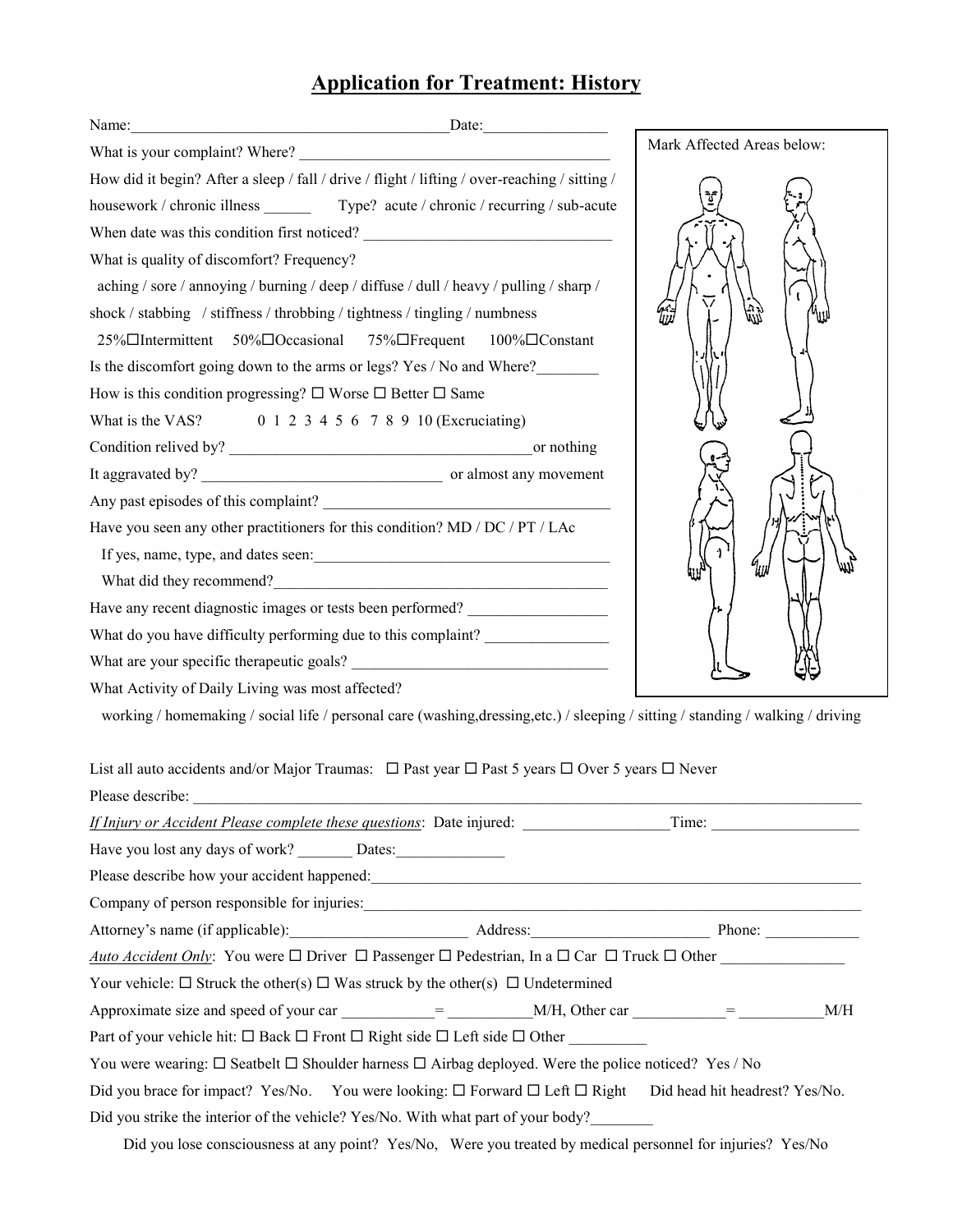# **Application for Treatment: History**

| Name:                                                                                                                            |                            |
|----------------------------------------------------------------------------------------------------------------------------------|----------------------------|
|                                                                                                                                  | Mark Affected Areas below: |
| How did it begin? After a sleep / fall / drive / flight / lifting / over-reaching / sitting /                                    |                            |
| housework / chronic illness ___________ Type? acute / chronic / recurring / sub-acute                                            |                            |
|                                                                                                                                  |                            |
| What is quality of discomfort? Frequency?                                                                                        |                            |
| aching / sore / annoying / burning / deep / diffuse / dull / heavy / pulling / sharp /                                           |                            |
| shock / stabbing / stiffness / throbbing / tightness / tingling / numbness                                                       | じゅ                         |
| $25\%$ Intermittent<br>50%□Occasional 75%□Frequent 100%□Constant                                                                 |                            |
| Is the discomfort going down to the arms or legs? Yes / No and Where?                                                            |                            |
| How is this condition progressing? $\square$ Worse $\square$ Better $\square$ Same                                               |                            |
| What is the VAS? 0 1 2 3 4 5 6 7 8 9 10 (Exeruciating)                                                                           |                            |
|                                                                                                                                  |                            |
|                                                                                                                                  |                            |
|                                                                                                                                  |                            |
| Have you seen any other practitioners for this condition? MD / DC / PT / LAc                                                     |                            |
|                                                                                                                                  |                            |
|                                                                                                                                  |                            |
| Have any recent diagnostic images or tests been performed?                                                                       |                            |
| What do you have difficulty performing due to this complaint?                                                                    |                            |
|                                                                                                                                  |                            |
| What Activity of Daily Living was most affected?                                                                                 |                            |
| working / homemaking / social life / personal care (washing, dressing, etc.) / sleeping / sitting / standing / walking / driving |                            |
|                                                                                                                                  |                            |
| List all auto accidents and/or Major Traumas: $\Box$ Past year $\Box$ Past 5 years $\Box$ Over 5 years $\Box$ Never              |                            |

| Please describe:                                                                                                           |       |     |
|----------------------------------------------------------------------------------------------------------------------------|-------|-----|
| <i>If Injury or Accident Please complete these questions:</i> Date injured:                                                | Time: |     |
| Have you lost any days of work? Dates:                                                                                     |       |     |
|                                                                                                                            |       |     |
|                                                                                                                            |       |     |
|                                                                                                                            |       |     |
| Auto Accident Only: You were $\Box$ Driver $\Box$ Passenger $\Box$ Pedestrian, In a $\Box$ Car $\Box$ Truck $\Box$ Other   |       |     |
| Your vehicle: $\Box$ Struck the other(s) $\Box$ Was struck by the other(s) $\Box$ Undetermined                             |       |     |
| Approximate size and speed of your car $=$ M/H, Other car $=$                                                              |       | M/H |
| Part of your vehicle hit: $\Box$ Back $\Box$ Front $\Box$ Right side $\Box$ Left side $\Box$ Other                         |       |     |
| You were wearing: $\Box$ Seatbelt $\Box$ Shoulder harness $\Box$ Airbag deployed. Were the police noticed? Yes / No        |       |     |
| Did you brace for impact? Yes/No. You were looking: $\Box$ Forward $\Box$ Left $\Box$ Right Did head hit headrest? Yes/No. |       |     |
| Did you strike the interior of the vehicle? Yes/No. With what part of your body?                                           |       |     |

Did you lose consciousness at any point? Yes/No, Were you treated by medical personnel for injuries? Yes/No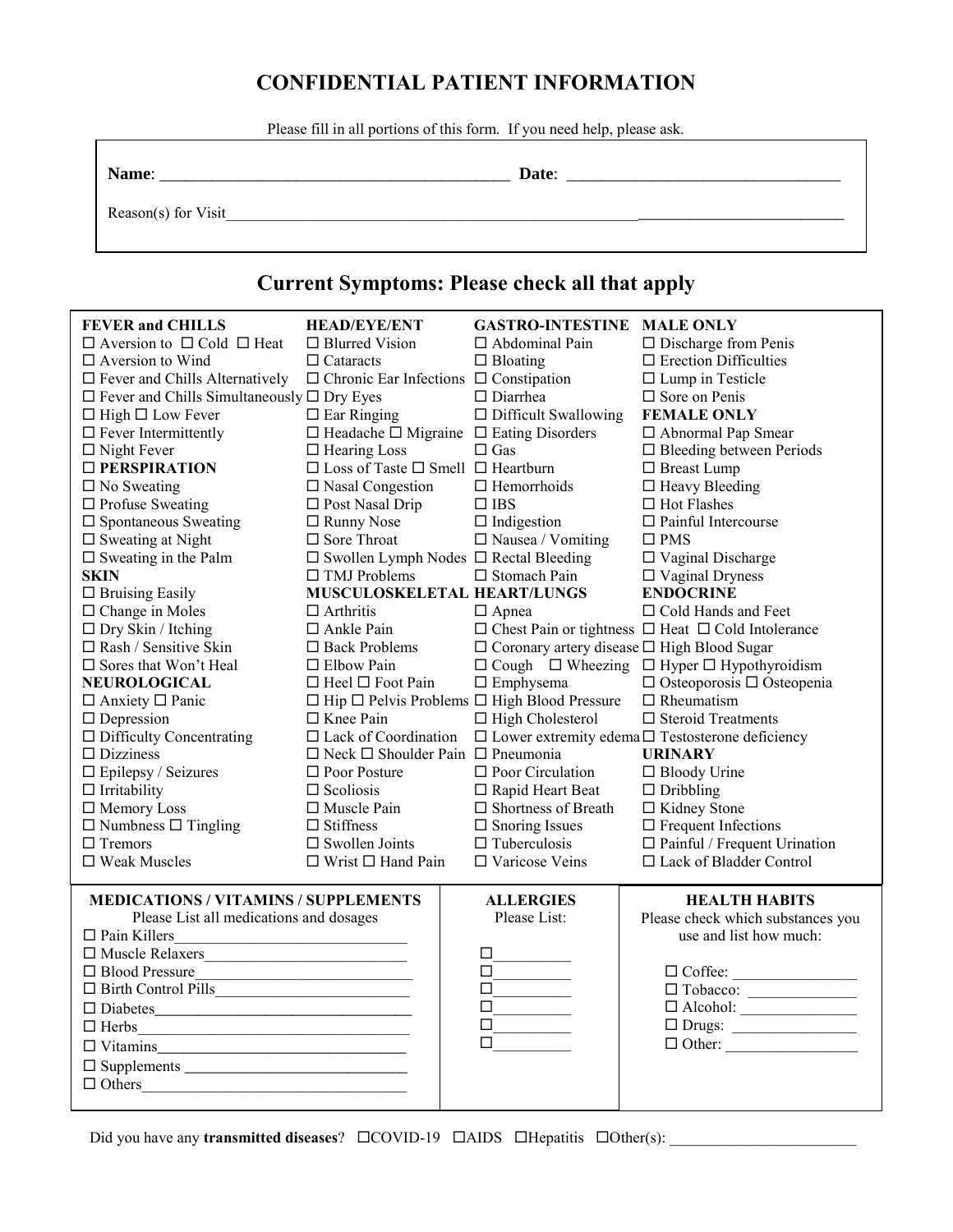# **CONFIDENTIAL PATIENT INFORMATION**

Please fill in all portions of this form. If you need help, please ask.

| am |  |
|----|--|
|    |  |

**Name**: \_\_\_\_\_\_\_\_\_\_\_\_\_\_\_\_\_\_\_\_\_\_\_\_\_\_\_\_\_\_\_\_\_\_\_\_\_\_\_\_\_ **Date**: \_\_\_\_\_\_\_\_\_\_\_\_\_\_\_\_\_\_\_\_\_\_\_\_\_\_\_\_\_\_\_\_

Reason(s) for Visit\_\_\_\_\_\_\_\_\_\_\_\_\_\_\_\_\_\_\_\_\_\_\_\_\_\_\_\_\_\_\_\_\_\_\_\_\_\_\_\_\_\_\_\_\_\_\_\_\_\_\_\_\_\_\_\_\_\_\_\_\_\_\_\_\_\_\_\_\_\_\_\_\_\_\_\_\_

### **Current Symptoms: Please check all that apply**

| <b>FEVER and CHILLS</b>                                                                                                               | <b>HEAD/EYE/ENT</b>                                                                                                  | <b>GASTRO-INTESTINE MALE ONLY</b>                            |                                                                                                                                                                                                                                                                                                                                                                                                                                                                                                                                                                                                                         |  |
|---------------------------------------------------------------------------------------------------------------------------------------|----------------------------------------------------------------------------------------------------------------------|--------------------------------------------------------------|-------------------------------------------------------------------------------------------------------------------------------------------------------------------------------------------------------------------------------------------------------------------------------------------------------------------------------------------------------------------------------------------------------------------------------------------------------------------------------------------------------------------------------------------------------------------------------------------------------------------------|--|
| $\Box$ Aversion to $\Box$ Cold $\Box$ Heat                                                                                            | $\Box$ Blurred Vision                                                                                                | $\Box$ Abdominal Pain                                        | $\Box$ Discharge from Penis                                                                                                                                                                                                                                                                                                                                                                                                                                                                                                                                                                                             |  |
| $\Box$ Aversion to Wind                                                                                                               | $\Box$ Cataracts                                                                                                     | $\Box$ Bloating                                              | $\square$ Erection Difficulties                                                                                                                                                                                                                                                                                                                                                                                                                                                                                                                                                                                         |  |
| $\Box$ Fever and Chills Alternatively                                                                                                 | $\Box$ Chronic Ear Infections $\Box$ Constipation                                                                    |                                                              | $\Box$ Lump in Testicle                                                                                                                                                                                                                                                                                                                                                                                                                                                                                                                                                                                                 |  |
| $\square$ Fever and Chills Simultaneously $\square$ Dry Eyes                                                                          |                                                                                                                      | $\Box$ Diarrhea                                              | $\square$ Sore on Penis                                                                                                                                                                                                                                                                                                                                                                                                                                                                                                                                                                                                 |  |
| $\Box$ High $\Box$ Low Fever                                                                                                          | $\Box$ Ear Ringing                                                                                                   | $\Box$ Difficult Swallowing                                  | <b>FEMALE ONLY</b>                                                                                                                                                                                                                                                                                                                                                                                                                                                                                                                                                                                                      |  |
| $\Box$ Fever Intermittently                                                                                                           | $\Box$ Headache $\Box$ Migraine $\Box$ Eating Disorders                                                              |                                                              | □ Abnormal Pap Smear                                                                                                                                                                                                                                                                                                                                                                                                                                                                                                                                                                                                    |  |
| $\Box$ Night Fever                                                                                                                    | $\Box$ Hearing Loss                                                                                                  | $\Box$ Gas                                                   | $\Box$ Bleeding between Periods                                                                                                                                                                                                                                                                                                                                                                                                                                                                                                                                                                                         |  |
| □ PERSPIRATION                                                                                                                        | $\square$ Loss of Taste $\square$ Smell $\square$ Heartburn                                                          |                                                              | □ Breast Lump                                                                                                                                                                                                                                                                                                                                                                                                                                                                                                                                                                                                           |  |
| $\square$ No Sweating                                                                                                                 | $\square$ Nasal Congestion                                                                                           | $\Box$ Hemorrhoids                                           | $\Box$ Heavy Bleeding                                                                                                                                                                                                                                                                                                                                                                                                                                                                                                                                                                                                   |  |
| $\Box$ Profuse Sweating                                                                                                               | $\Box$ Post Nasal Drip                                                                                               | $\Box$ IBS                                                   | $\Box$ Hot Flashes                                                                                                                                                                                                                                                                                                                                                                                                                                                                                                                                                                                                      |  |
| $\square$ Spontaneous Sweating                                                                                                        | □ Runny Nose                                                                                                         | $\Box$ Indigestion                                           | $\Box$ Painful Intercourse                                                                                                                                                                                                                                                                                                                                                                                                                                                                                                                                                                                              |  |
| $\square$ Sweating at Night                                                                                                           | $\Box$ Sore Throat                                                                                                   | $\square$ Nausea / Vomiting                                  | $\square$ PMS                                                                                                                                                                                                                                                                                                                                                                                                                                                                                                                                                                                                           |  |
| $\square$ Sweating in the Palm                                                                                                        | $\square$ Swollen Lymph Nodes $\square$ Rectal Bleeding                                                              |                                                              | $\Box$ Vaginal Discharge                                                                                                                                                                                                                                                                                                                                                                                                                                                                                                                                                                                                |  |
| <b>SKIN</b>                                                                                                                           | $\Box$ TMJ Problems                                                                                                  | □ Stomach Pain                                               | $\Box$ Vaginal Dryness                                                                                                                                                                                                                                                                                                                                                                                                                                                                                                                                                                                                  |  |
| $\Box$ Bruising Easily                                                                                                                | MUSCULOSKELETAL HEART/LUNGS                                                                                          |                                                              | <b>ENDOCRINE</b>                                                                                                                                                                                                                                                                                                                                                                                                                                                                                                                                                                                                        |  |
| $\Box$ Change in Moles                                                                                                                | $\Box$ Arthritis                                                                                                     | $\Box$ Apnea                                                 | $\Box$ Cold Hands and Feet                                                                                                                                                                                                                                                                                                                                                                                                                                                                                                                                                                                              |  |
| $\Box$ Dry Skin / Itching                                                                                                             | $\Box$ Ankle Pain                                                                                                    |                                                              | $\Box$ Chest Pain or tightness $\Box$ Heat $\Box$ Cold Intolerance                                                                                                                                                                                                                                                                                                                                                                                                                                                                                                                                                      |  |
| $\Box$ Rash / Sensitive Skin                                                                                                          | $\Box$ Back Problems                                                                                                 | $\Box$ Coronary artery disease $\Box$ High Blood Sugar       |                                                                                                                                                                                                                                                                                                                                                                                                                                                                                                                                                                                                                         |  |
| $\square$ Sores that Won't Heal                                                                                                       | $\Box$ Elbow Pain                                                                                                    |                                                              | $\Box$ Cough $\Box$ Wheezing $\Box$ Hyper $\Box$ Hypothyroidism                                                                                                                                                                                                                                                                                                                                                                                                                                                                                                                                                         |  |
| <b>NEUROLOGICAL</b>                                                                                                                   | $\Box$ Heel $\Box$ Foot Pain                                                                                         | $\square$ Emphysema                                          | $\Box$ Osteoporosis $\Box$ Osteopenia                                                                                                                                                                                                                                                                                                                                                                                                                                                                                                                                                                                   |  |
| $\Box$ Anxiety $\Box$ Panic                                                                                                           |                                                                                                                      | $\Box$ Hip $\Box$ Pelvis Problems $\Box$ High Blood Pressure | $\Box$ Rheumatism                                                                                                                                                                                                                                                                                                                                                                                                                                                                                                                                                                                                       |  |
| $\Box$ Depression                                                                                                                     | $\Box$ Knee Pain                                                                                                     | $\Box$ High Cholesterol                                      | $\Box$ Steroid Treatments                                                                                                                                                                                                                                                                                                                                                                                                                                                                                                                                                                                               |  |
| $\Box$ Difficulty Concentrating                                                                                                       | $\Box$ Lack of Coordination                                                                                          |                                                              | $\Box$ Lower extremity edema $\Box$ Testosterone deficiency                                                                                                                                                                                                                                                                                                                                                                                                                                                                                                                                                             |  |
| $\Box$ Dizziness                                                                                                                      | $\Box$ Neck $\Box$ Shoulder Pain $\Box$ Pneumonia                                                                    |                                                              | <b>URINARY</b>                                                                                                                                                                                                                                                                                                                                                                                                                                                                                                                                                                                                          |  |
| $\Box$ Epilepsy / Seizures                                                                                                            | $\Box$ Poor Posture                                                                                                  | $\Box$ Poor Circulation                                      | $\Box$ Bloody Urine                                                                                                                                                                                                                                                                                                                                                                                                                                                                                                                                                                                                     |  |
| $\Box$ Irritability                                                                                                                   | $\Box$ Scoliosis                                                                                                     | □ Rapid Heart Beat                                           | $\Box$ Dribbling                                                                                                                                                                                                                                                                                                                                                                                                                                                                                                                                                                                                        |  |
| □ Memory Loss                                                                                                                         | $\Box$ Muscle Pain                                                                                                   | $\Box$ Shortness of Breath                                   | □ Kidney Stone                                                                                                                                                                                                                                                                                                                                                                                                                                                                                                                                                                                                          |  |
| $\Box$ Numbness $\Box$ Tingling                                                                                                       | $\Box$ Stiffness                                                                                                     | $\square$ Snoring Issues                                     | $\Box$ Frequent Infections                                                                                                                                                                                                                                                                                                                                                                                                                                                                                                                                                                                              |  |
| $\Box$ Tremors                                                                                                                        | $\square$ Swollen Joints                                                                                             | $\Box$ Tuberculosis                                          | $\Box$ Painful / Frequent Urination                                                                                                                                                                                                                                                                                                                                                                                                                                                                                                                                                                                     |  |
| $\square$ Weak Muscles                                                                                                                | $\Box$ Wrist $\Box$ Hand Pain                                                                                        | □ Varicose Veins                                             | □ Lack of Bladder Control                                                                                                                                                                                                                                                                                                                                                                                                                                                                                                                                                                                               |  |
| <b>MEDICATIONS / VITAMINS / SUPPLEMENTS</b>                                                                                           |                                                                                                                      | <b>ALLERGIES</b>                                             | <b>HEALTH HABITS</b>                                                                                                                                                                                                                                                                                                                                                                                                                                                                                                                                                                                                    |  |
| Please List all medications and dosages                                                                                               |                                                                                                                      | Please List:                                                 | Please check which substances you                                                                                                                                                                                                                                                                                                                                                                                                                                                                                                                                                                                       |  |
| $\Box$ Pain Killers                                                                                                                   | <u> 1989 - Johann Barn, mars ar breithinn ar breithinn ar breithinn ar breithinn ar breithinn ar breithinn ar br</u> |                                                              | use and list how much:                                                                                                                                                                                                                                                                                                                                                                                                                                                                                                                                                                                                  |  |
|                                                                                                                                       |                                                                                                                      | □                                                            |                                                                                                                                                                                                                                                                                                                                                                                                                                                                                                                                                                                                                         |  |
| □ Blood Pressure                                                                                                                      | <u> 1999 - Johann John Stone, mars et al. (</u>                                                                      | □                                                            |                                                                                                                                                                                                                                                                                                                                                                                                                                                                                                                                                                                                                         |  |
| $\hfill \Box$ $\hfill \Box$ $\hfill \Box$                                                                                             |                                                                                                                      | □                                                            | $\begin{tabular}{ c c } \hline $\square$ Coffee: \underline{\hspace{1cm}} \underline{\hspace{1cm}} \underline{\hspace{1cm}} \underline{\hspace{1cm}} \underline{\hspace{1cm}} \underline{\hspace{1cm}} \underline{\hspace{1cm}} \underline{\hspace{1cm}} \underline{\hspace{1cm}} \underline{\hspace{1cm}} \underline{\hspace{1cm}} \underline{\hspace{1cm}} \underline{\hspace{1cm}} \underline{\hspace{1cm}} \underline{\hspace{1cm}} \underline{\hspace{1cm}} \underline{\hspace{1cm}} \underline{\hspace{1cm}} \underline{\hspace{1cm}} \underline{\hspace{1cm}} \underline{\hspace{1cm}} \underline{\hspace{1cm}}$ |  |
| $\square$ Diabetes                                                                                                                    |                                                                                                                      | $\Box$                                                       |                                                                                                                                                                                                                                                                                                                                                                                                                                                                                                                                                                                                                         |  |
| $\Box$ Herbs<br><u> 1989 - Johann Barn, mars ann an t-Amhain an t-Amhain an t-Amhain an t-Amhain an t-Amhain an t-Amhain an t-Amh</u> |                                                                                                                      | $\Box$                                                       |                                                                                                                                                                                                                                                                                                                                                                                                                                                                                                                                                                                                                         |  |
| $\Box$ Vitamins                                                                                                                       |                                                                                                                      | П                                                            | $\Box$ Other:                                                                                                                                                                                                                                                                                                                                                                                                                                                                                                                                                                                                           |  |
|                                                                                                                                       |                                                                                                                      |                                                              |                                                                                                                                                                                                                                                                                                                                                                                                                                                                                                                                                                                                                         |  |
| $\Box$ Others                                                                                                                         |                                                                                                                      |                                                              |                                                                                                                                                                                                                                                                                                                                                                                                                                                                                                                                                                                                                         |  |

Did you have any **transmitted diseases**?  $\Box$ COVID-19  $\Box$ AIDS  $\Box$ Hepatitis  $\Box$ Other(s):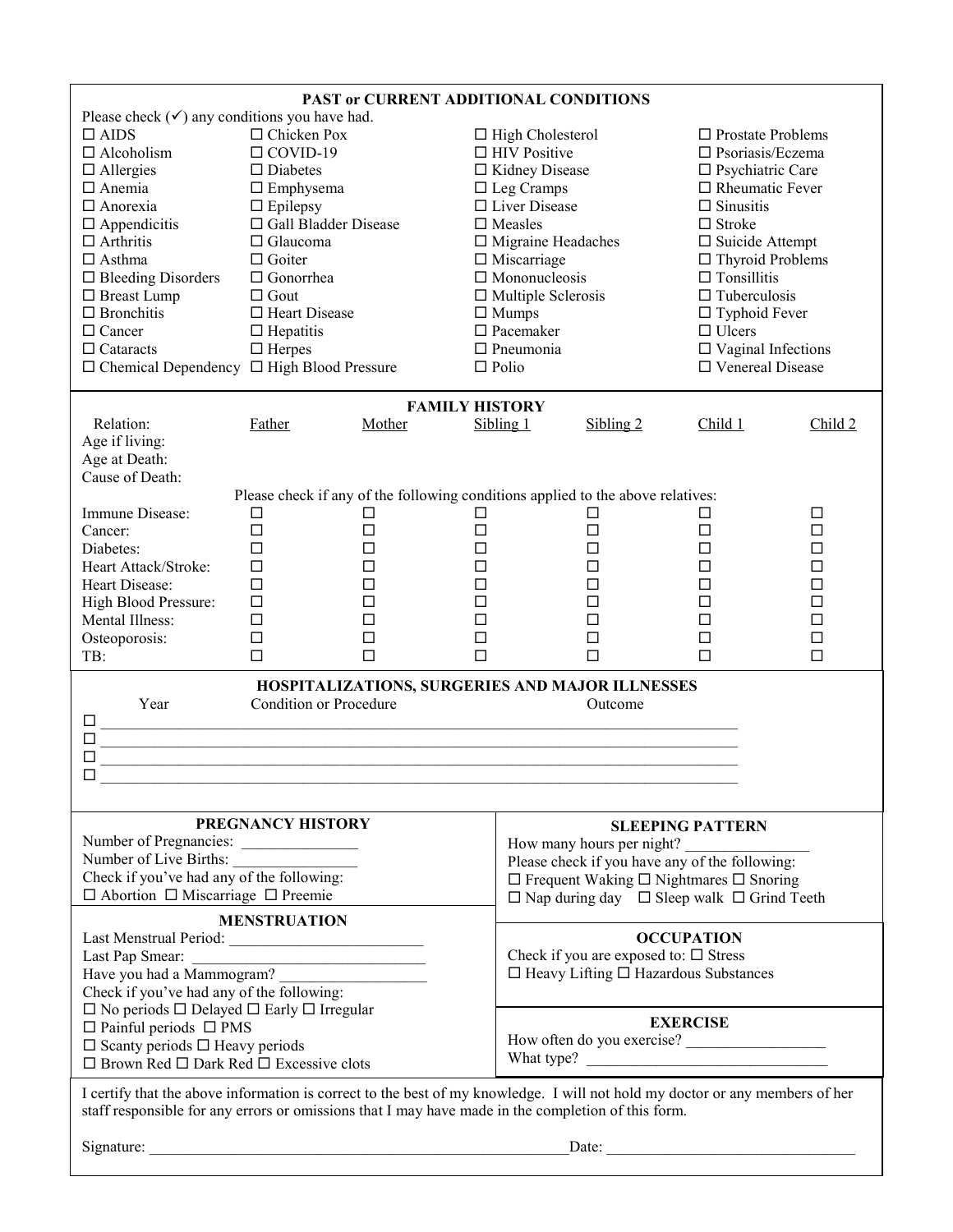| PAST or CURRENT ADDITIONAL CONDITIONS                                                                                                                                                                                                                                                                                                                                             |                                                                                                                                                                                                                                |                                                 |             |                                                                                                                                                                                                                                                                                                                         |                                                            |                                |                                                                                                                                                                                                                                                                                                              |  |
|-----------------------------------------------------------------------------------------------------------------------------------------------------------------------------------------------------------------------------------------------------------------------------------------------------------------------------------------------------------------------------------|--------------------------------------------------------------------------------------------------------------------------------------------------------------------------------------------------------------------------------|-------------------------------------------------|-------------|-------------------------------------------------------------------------------------------------------------------------------------------------------------------------------------------------------------------------------------------------------------------------------------------------------------------------|------------------------------------------------------------|--------------------------------|--------------------------------------------------------------------------------------------------------------------------------------------------------------------------------------------------------------------------------------------------------------------------------------------------------------|--|
| Please check $(\checkmark)$ any conditions you have had.<br>$\Box$ AIDS<br>$\Box$ Alcoholism<br>$\Box$ Allergies<br>$\Box$ Anemia<br>$\Box$ Anorexia<br>$\Box$ Appendicitis<br>$\Box$ Arthritis<br>$\Box$ Asthma<br>$\Box$ Bleeding Disorders<br>□ Breast Lump<br>$\Box$ Bronchitis<br>$\Box$ Cancer<br>$\Box$ Cataracts<br>$\Box$ Chemical Dependency $\Box$ High Blood Pressure | $\Box$ Chicken Pox<br>$\Box$ COVID-19<br>$\Box$ Diabetes<br>$\Box$ Emphysema<br>$\Box$ Epilepsy<br>$\Box$ Glaucoma<br>$\Box$ Goiter<br>$\Box$ Gonorrhea<br>$\Box$ Gout<br>□ Heart Disease<br>$\Box$ Hepatitis<br>$\Box$ Herpes | □ Gall Bladder Disease                          |             | $\Box$ High Cholesterol<br>$\Box$ HIV Positive<br>□ Kidney Disease<br>$\Box$ Leg Cramps<br>$\Box$ Liver Disease<br>$\Box$ Measles<br>$\Box$ Migraine Headaches<br>$\Box$ Miscarriage<br>$\square$ Mononucleosis<br>$\Box$ Multiple Sclerosis<br>$\Box$ Mumps<br>$\square$ Pacemaker<br>$\Box$ Pneumonia<br>$\Box$ Polio |                                                            | $\Box$ Stroke<br>$\Box$ Ulcers | $\Box$ Prostate Problems<br>$\Box$ Psoriasis/Eczema<br>$\square$ Psychiatric Care<br>$\Box$ Rheumatic Fever<br>$\Box$ Sinusitis<br>$\Box$ Suicide Attempt<br>$\Box$ Thyroid Problems<br>$\Box$ Tonsillitis<br>$\Box$ Tuberculosis<br>$\Box$ Typhoid Fever<br>$\Box$ Vaginal Infections<br>□ Venereal Disease |  |
|                                                                                                                                                                                                                                                                                                                                                                                   |                                                                                                                                                                                                                                | <b>FAMILY HISTORY</b>                           |             |                                                                                                                                                                                                                                                                                                                         |                                                            |                                |                                                                                                                                                                                                                                                                                                              |  |
| Relation:                                                                                                                                                                                                                                                                                                                                                                         | Father                                                                                                                                                                                                                         | Mother                                          | Sibling 1   |                                                                                                                                                                                                                                                                                                                         | Sibling 2                                                  | Child 1                        | Child 2                                                                                                                                                                                                                                                                                                      |  |
| Age if living:                                                                                                                                                                                                                                                                                                                                                                    |                                                                                                                                                                                                                                |                                                 |             |                                                                                                                                                                                                                                                                                                                         |                                                            |                                |                                                                                                                                                                                                                                                                                                              |  |
| Age at Death:                                                                                                                                                                                                                                                                                                                                                                     |                                                                                                                                                                                                                                |                                                 |             |                                                                                                                                                                                                                                                                                                                         |                                                            |                                |                                                                                                                                                                                                                                                                                                              |  |
| Cause of Death:                                                                                                                                                                                                                                                                                                                                                                   |                                                                                                                                                                                                                                |                                                 |             |                                                                                                                                                                                                                                                                                                                         |                                                            |                                |                                                                                                                                                                                                                                                                                                              |  |
|                                                                                                                                                                                                                                                                                                                                                                                   | Please check if any of the following conditions applied to the above relatives:                                                                                                                                                |                                                 |             |                                                                                                                                                                                                                                                                                                                         |                                                            |                                |                                                                                                                                                                                                                                                                                                              |  |
| Immune Disease:                                                                                                                                                                                                                                                                                                                                                                   | □                                                                                                                                                                                                                              |                                                 | Ħ           |                                                                                                                                                                                                                                                                                                                         | L                                                          | □                              | □                                                                                                                                                                                                                                                                                                            |  |
| Cancer:                                                                                                                                                                                                                                                                                                                                                                           | □                                                                                                                                                                                                                              | □                                               | □           |                                                                                                                                                                                                                                                                                                                         | □                                                          | ⊔                              | □                                                                                                                                                                                                                                                                                                            |  |
| Diabetes:                                                                                                                                                                                                                                                                                                                                                                         | $\Box$                                                                                                                                                                                                                         | П                                               | $\Box$      |                                                                                                                                                                                                                                                                                                                         | $\Box$                                                     | □                              | □                                                                                                                                                                                                                                                                                                            |  |
| Heart Attack/Stroke:                                                                                                                                                                                                                                                                                                                                                              | $\Box$                                                                                                                                                                                                                         | П                                               | $\Box$      |                                                                                                                                                                                                                                                                                                                         | $\Box$                                                     | □                              | $\Box$                                                                                                                                                                                                                                                                                                       |  |
| Heart Disease:                                                                                                                                                                                                                                                                                                                                                                    | $\Box$                                                                                                                                                                                                                         | □                                               | $\Box$      |                                                                                                                                                                                                                                                                                                                         | □                                                          | □                              | □                                                                                                                                                                                                                                                                                                            |  |
| High Blood Pressure:                                                                                                                                                                                                                                                                                                                                                              | $\Box$                                                                                                                                                                                                                         | П                                               | $\Box$      |                                                                                                                                                                                                                                                                                                                         | $\Box$                                                     | □                              | $\Box$                                                                                                                                                                                                                                                                                                       |  |
| Mental Illness:                                                                                                                                                                                                                                                                                                                                                                   | $\Box$                                                                                                                                                                                                                         | П                                               | $\Box$      |                                                                                                                                                                                                                                                                                                                         | $\Box$                                                     | $\Box$                         | $\Box$                                                                                                                                                                                                                                                                                                       |  |
| Osteoporosis:                                                                                                                                                                                                                                                                                                                                                                     | $\Box$<br>$\Box$                                                                                                                                                                                                               | П<br>П                                          | □<br>$\Box$ |                                                                                                                                                                                                                                                                                                                         | □<br>$\Box$                                                | □<br>$\Box$                    | □<br>$\Box$                                                                                                                                                                                                                                                                                                  |  |
| TB:                                                                                                                                                                                                                                                                                                                                                                               |                                                                                                                                                                                                                                |                                                 |             |                                                                                                                                                                                                                                                                                                                         |                                                            |                                |                                                                                                                                                                                                                                                                                                              |  |
|                                                                                                                                                                                                                                                                                                                                                                                   |                                                                                                                                                                                                                                | HOSPITALIZATIONS, SURGERIES AND MAJOR ILLNESSES |             |                                                                                                                                                                                                                                                                                                                         |                                                            |                                |                                                                                                                                                                                                                                                                                                              |  |
| Year                                                                                                                                                                                                                                                                                                                                                                              | <b>Condition or Procedure</b>                                                                                                                                                                                                  |                                                 |             |                                                                                                                                                                                                                                                                                                                         | Outcome                                                    |                                |                                                                                                                                                                                                                                                                                                              |  |
| □                                                                                                                                                                                                                                                                                                                                                                                 |                                                                                                                                                                                                                                |                                                 |             |                                                                                                                                                                                                                                                                                                                         |                                                            |                                |                                                                                                                                                                                                                                                                                                              |  |
| □<br>$\Box$                                                                                                                                                                                                                                                                                                                                                                       |                                                                                                                                                                                                                                |                                                 |             |                                                                                                                                                                                                                                                                                                                         |                                                            |                                |                                                                                                                                                                                                                                                                                                              |  |
|                                                                                                                                                                                                                                                                                                                                                                                   |                                                                                                                                                                                                                                |                                                 |             |                                                                                                                                                                                                                                                                                                                         |                                                            |                                |                                                                                                                                                                                                                                                                                                              |  |
| □                                                                                                                                                                                                                                                                                                                                                                                 |                                                                                                                                                                                                                                |                                                 |             |                                                                                                                                                                                                                                                                                                                         |                                                            |                                |                                                                                                                                                                                                                                                                                                              |  |
|                                                                                                                                                                                                                                                                                                                                                                                   |                                                                                                                                                                                                                                |                                                 |             |                                                                                                                                                                                                                                                                                                                         |                                                            |                                |                                                                                                                                                                                                                                                                                                              |  |
|                                                                                                                                                                                                                                                                                                                                                                                   | PREGNANCY HISTORY                                                                                                                                                                                                              |                                                 |             |                                                                                                                                                                                                                                                                                                                         |                                                            | <b>SLEEPING PATTERN</b>        |                                                                                                                                                                                                                                                                                                              |  |
| Number of Pregnancies:                                                                                                                                                                                                                                                                                                                                                            |                                                                                                                                                                                                                                |                                                 |             |                                                                                                                                                                                                                                                                                                                         | How many hours per night?                                  |                                |                                                                                                                                                                                                                                                                                                              |  |
| Number of Live Births:                                                                                                                                                                                                                                                                                                                                                            |                                                                                                                                                                                                                                |                                                 |             |                                                                                                                                                                                                                                                                                                                         | Please check if you have any of the following:             |                                |                                                                                                                                                                                                                                                                                                              |  |
| Check if you've had any of the following:                                                                                                                                                                                                                                                                                                                                         |                                                                                                                                                                                                                                |                                                 |             |                                                                                                                                                                                                                                                                                                                         | $\Box$ Frequent Waking $\Box$ Nightmares $\Box$ Snoring    |                                |                                                                                                                                                                                                                                                                                                              |  |
| $\Box$ Abortion $\Box$ Miscarriage $\Box$ Preemie                                                                                                                                                                                                                                                                                                                                 |                                                                                                                                                                                                                                |                                                 |             |                                                                                                                                                                                                                                                                                                                         | $\Box$ Nap during day $\Box$ Sleep walk $\Box$ Grind Teeth |                                |                                                                                                                                                                                                                                                                                                              |  |
|                                                                                                                                                                                                                                                                                                                                                                                   | <b>MENSTRUATION</b>                                                                                                                                                                                                            |                                                 |             |                                                                                                                                                                                                                                                                                                                         |                                                            |                                |                                                                                                                                                                                                                                                                                                              |  |
|                                                                                                                                                                                                                                                                                                                                                                                   |                                                                                                                                                                                                                                |                                                 |             | <b>OCCUPATION</b>                                                                                                                                                                                                                                                                                                       |                                                            |                                |                                                                                                                                                                                                                                                                                                              |  |
| Last Pap Smear:                                                                                                                                                                                                                                                                                                                                                                   | <u> 1980 - Andrea Andrew Maria (h. 1980).</u>                                                                                                                                                                                  |                                                 |             | Check if you are exposed to: $\square$ Stress                                                                                                                                                                                                                                                                           |                                                            |                                |                                                                                                                                                                                                                                                                                                              |  |
| Have you had a Mammogram?                                                                                                                                                                                                                                                                                                                                                         |                                                                                                                                                                                                                                |                                                 |             | $\Box$ Heavy Lifting $\Box$ Hazardous Substances                                                                                                                                                                                                                                                                        |                                                            |                                |                                                                                                                                                                                                                                                                                                              |  |
| Check if you've had any of the following:                                                                                                                                                                                                                                                                                                                                         |                                                                                                                                                                                                                                |                                                 |             |                                                                                                                                                                                                                                                                                                                         |                                                            |                                |                                                                                                                                                                                                                                                                                                              |  |
| $\square$ No periods $\square$ Delayed $\square$ Early $\square$ Irregular                                                                                                                                                                                                                                                                                                        |                                                                                                                                                                                                                                |                                                 |             | <b>EXERCISE</b>                                                                                                                                                                                                                                                                                                         |                                                            |                                |                                                                                                                                                                                                                                                                                                              |  |
| $\Box$ Painful periods $\Box$ PMS                                                                                                                                                                                                                                                                                                                                                 |                                                                                                                                                                                                                                |                                                 |             |                                                                                                                                                                                                                                                                                                                         | How often do you exercise?                                 |                                |                                                                                                                                                                                                                                                                                                              |  |
| $\Box$ Scanty periods $\Box$ Heavy periods<br>$\Box$ Brown Red $\Box$ Dark Red $\Box$ Excessive clots                                                                                                                                                                                                                                                                             |                                                                                                                                                                                                                                |                                                 |             |                                                                                                                                                                                                                                                                                                                         | What type?                                                 |                                |                                                                                                                                                                                                                                                                                                              |  |
|                                                                                                                                                                                                                                                                                                                                                                                   |                                                                                                                                                                                                                                |                                                 |             |                                                                                                                                                                                                                                                                                                                         |                                                            |                                |                                                                                                                                                                                                                                                                                                              |  |
| I certify that the above information is correct to the best of my knowledge. I will not hold my doctor or any members of her                                                                                                                                                                                                                                                      |                                                                                                                                                                                                                                |                                                 |             |                                                                                                                                                                                                                                                                                                                         |                                                            |                                |                                                                                                                                                                                                                                                                                                              |  |
| staff responsible for any errors or omissions that I may have made in the completion of this form.                                                                                                                                                                                                                                                                                |                                                                                                                                                                                                                                |                                                 |             |                                                                                                                                                                                                                                                                                                                         |                                                            |                                |                                                                                                                                                                                                                                                                                                              |  |
|                                                                                                                                                                                                                                                                                                                                                                                   |                                                                                                                                                                                                                                |                                                 |             |                                                                                                                                                                                                                                                                                                                         |                                                            |                                |                                                                                                                                                                                                                                                                                                              |  |
| Signature: Date: Date: Date: Date: Development of the Contract of the Contract of the Contract of the Contract of the Contract of the Contract of the Contract of the Contract of the Contract of the Contract of the Contract                                                                                                                                                    |                                                                                                                                                                                                                                |                                                 |             |                                                                                                                                                                                                                                                                                                                         |                                                            |                                |                                                                                                                                                                                                                                                                                                              |  |
|                                                                                                                                                                                                                                                                                                                                                                                   |                                                                                                                                                                                                                                |                                                 |             |                                                                                                                                                                                                                                                                                                                         |                                                            |                                |                                                                                                                                                                                                                                                                                                              |  |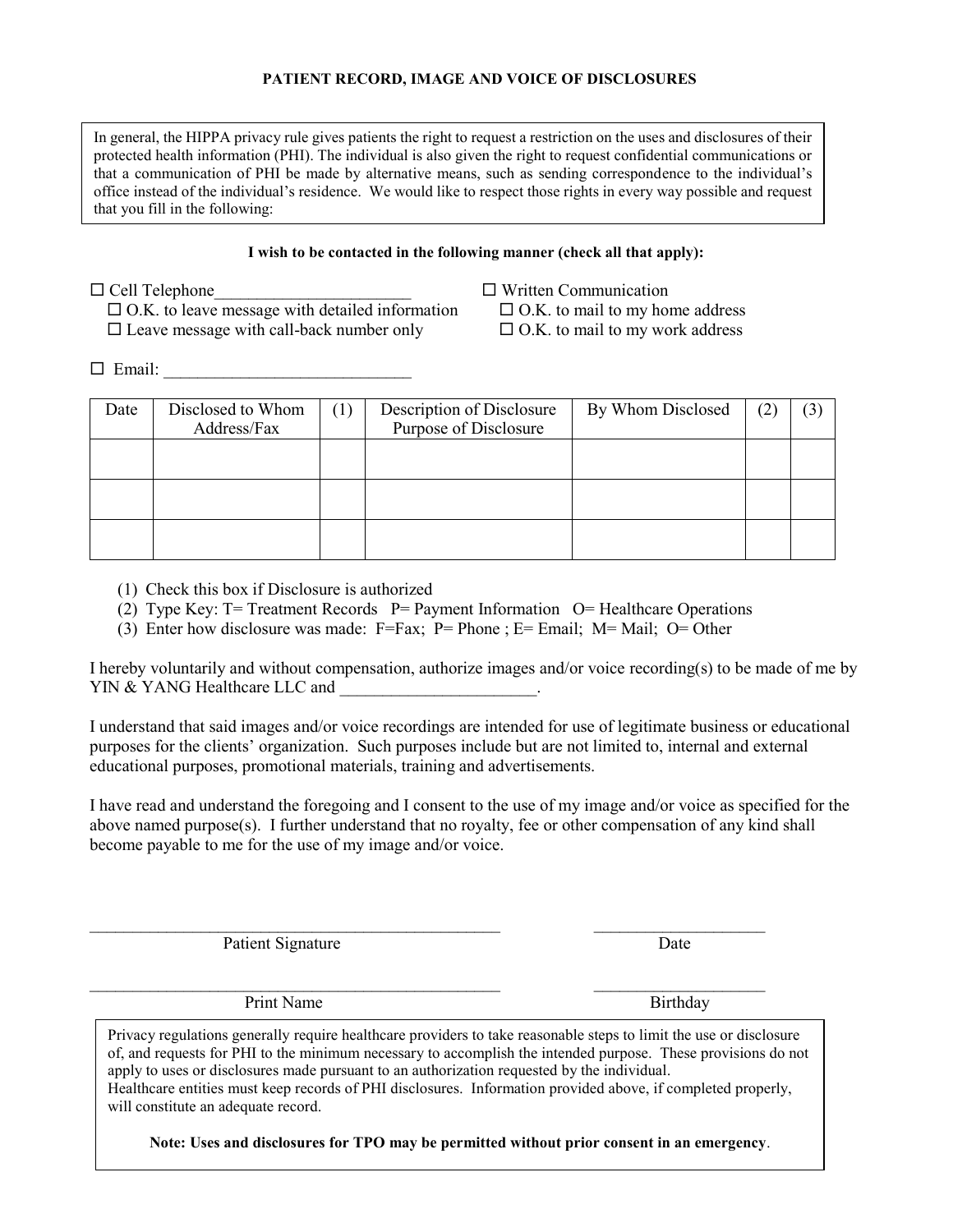#### **PATIENT RECORD, IMAGE AND VOICE OF DISCLOSURES**

In general, the HIPPA privacy rule gives patients the right to request a restriction on the uses and disclosures of their protected health information (PHI). The individual is also given the right to request confidential communications or that a communication of PHI be made by alternative means, such as sending correspondence to the individual's office instead of the individual's residence. We would like to respect those rights in every way possible and request that you fill in the following:

#### **I wish to be contacted in the following manner (check all that apply):**

- $\Box$  O.K. to leave message with detailed information  $\Box$  O.K. to mail to my home address
- $\square$  Leave message with call-back number only  $\square$  O.K. to mail to my work address
- $\Box$  Cell Telephone  $\Box$  Written Communication

 $\Box$  Email:

| Date | Disclosed to Whom<br>Address/Fax | $\left(1\right)$ | Description of Disclosure<br>Purpose of Disclosure | By Whom Disclosed | (2) | (3) |
|------|----------------------------------|------------------|----------------------------------------------------|-------------------|-----|-----|
|      |                                  |                  |                                                    |                   |     |     |
|      |                                  |                  |                                                    |                   |     |     |
|      |                                  |                  |                                                    |                   |     |     |

(1) Check this box if Disclosure is authorized

- (2) Type Key: T= Treatment Records P= Payment Information O= Healthcare Operations
- (3) Enter how disclosure was made: F=Fax; P= Phone ; E= Email; M= Mail; O= Other

I hereby voluntarily and without compensation, authorize images and/or voice recording(s) to be made of me by YIN & YANG Healthcare LLC and \_\_\_\_\_\_\_\_\_\_\_\_\_\_\_\_\_\_\_\_\_\_\_.

I understand that said images and/or voice recordings are intended for use of legitimate business or educational purposes for the clients' organization. Such purposes include but are not limited to, internal and external educational purposes, promotional materials, training and advertisements.

I have read and understand the foregoing and I consent to the use of my image and/or voice as specified for the above named purpose(s). I further understand that no royalty, fee or other compensation of any kind shall become payable to me for the use of my image and/or voice.

Patient Signature Date

Print Name Birthday

Privacy regulations generally require healthcare providers to take reasonable steps to limit the use or disclosure of, and requests for PHI to the minimum necessary to accomplish the intended purpose. These provisions do not apply to uses or disclosures made pursuant to an authorization requested by the individual. Healthcare entities must keep records of PHI disclosures. Information provided above, if completed properly, will constitute an adequate record.

 $\mathcal{L}_\text{max} = \mathcal{L}_\text{max} = \mathcal{L}_\text{max} = \mathcal{L}_\text{max} = \mathcal{L}_\text{max} = \mathcal{L}_\text{max} = \mathcal{L}_\text{max} = \mathcal{L}_\text{max} = \mathcal{L}_\text{max} = \mathcal{L}_\text{max} = \mathcal{L}_\text{max} = \mathcal{L}_\text{max} = \mathcal{L}_\text{max} = \mathcal{L}_\text{max} = \mathcal{L}_\text{max} = \mathcal{L}_\text{max} = \mathcal{L}_\text{max} = \mathcal{L}_\text{max} = \mathcal{$ 

 $\mathcal{L}_\text{max} = \mathcal{L}_\text{max} = \mathcal{L}_\text{max} = \mathcal{L}_\text{max} = \mathcal{L}_\text{max} = \mathcal{L}_\text{max} = \mathcal{L}_\text{max} = \mathcal{L}_\text{max} = \mathcal{L}_\text{max} = \mathcal{L}_\text{max} = \mathcal{L}_\text{max} = \mathcal{L}_\text{max} = \mathcal{L}_\text{max} = \mathcal{L}_\text{max} = \mathcal{L}_\text{max} = \mathcal{L}_\text{max} = \mathcal{L}_\text{max} = \mathcal{L}_\text{max} = \mathcal{$ 

**Note: Uses and disclosures for TPO may be permitted without prior consent in an emergency**.